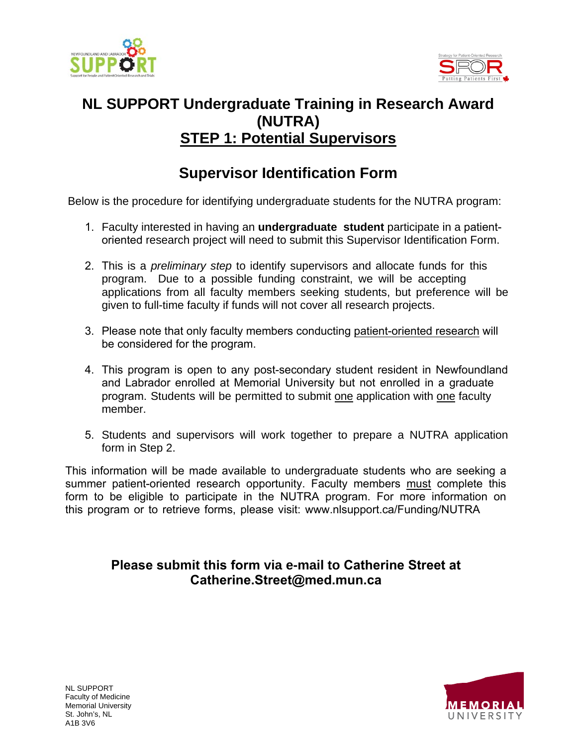



## **NL SUPPORT Undergraduate Training in Research Award (NUTRA) STEP 1: Potential Supervisors**

## **Supervisor Identification Form**

Below is the procedure for identifying undergraduate students for the NUTRA program:

- 1. Faculty interested in having an **undergraduate student** participate in a patientoriented research project will need to submit this Supervisor Identification Form.
- 2. This is a *preliminary step* to identify supervisors and allocate funds for this program. Due to a possible funding constraint, we will be accepting applications from all faculty members seeking students, but preference will be given to full-time faculty if funds will not cover all research projects.
- 3. Please note that only faculty members conducting patient-oriented research will be considered for the program.
- 4. This program is open to any post-secondary student resident in Newfoundland and Labrador enrolled at Memorial University but not enrolled in a graduate program. Students will be permitted to submit one application with one faculty member.
- 5. Students and supervisors will work together to prepare a NUTRA application form in Step 2.

This information will be made available to undergraduate students who are seeking a summer patient-oriented research opportunity. Faculty members must complete this form to be eligible to participate in the NUTRA program. For more information on this program or to retrieve forms, please visit: www.nlsupport.ca/Funding/NUTRA

### **Please submit this form via e-mail to Catherine Street at Catherine.Street@med.mun.ca**



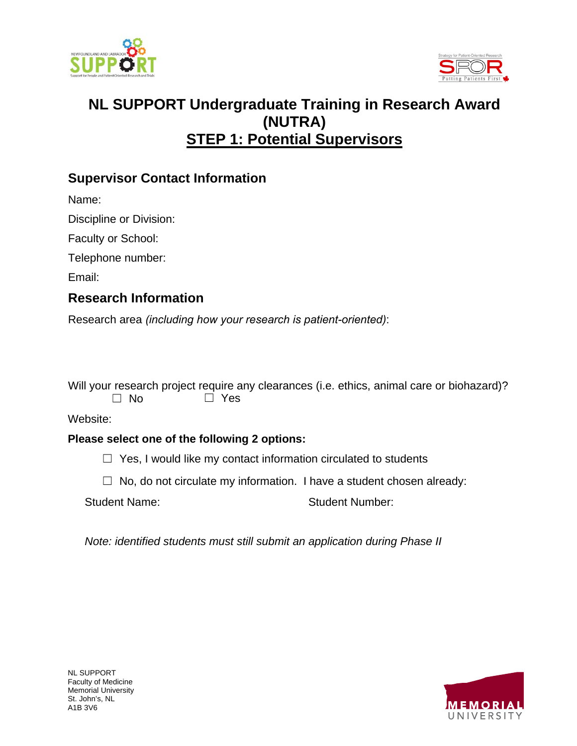



# **NL SUPPORT Undergraduate Training in Research Award (NUTRA) STEP 1: Potential Supervisors**

### **Supervisor Contact Information**

Name:

Discipline or Division:

Faculty or School:

Telephone number:

Email:

### **Research Information**

Research area *(including how your research is patient-oriented)*:

Will your research project require any clearances (i.e. ethics, animal care or biohazard)?  $\Box$  No  $\Box$  Yes

#### Website:

#### **Please select one of the following 2 options:**

 $\Box$  Yes, I would like my contact information circulated to students

 $\Box$  No, do not circulate my information. I have a student chosen already:

Student Name: Student Number:

*Note: identified students must still submit an application during Phase II*